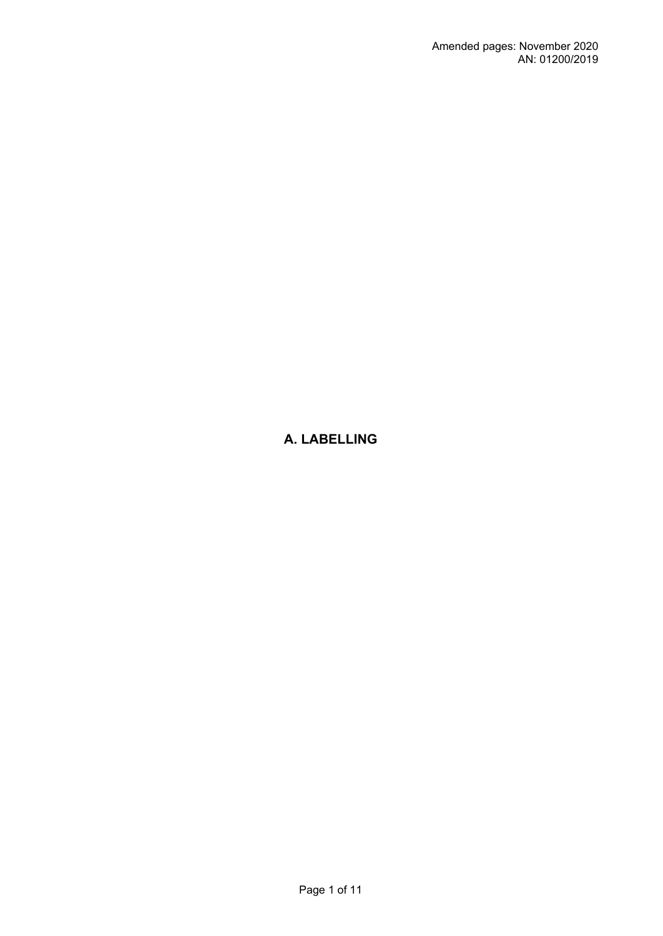# **A. LABELLING**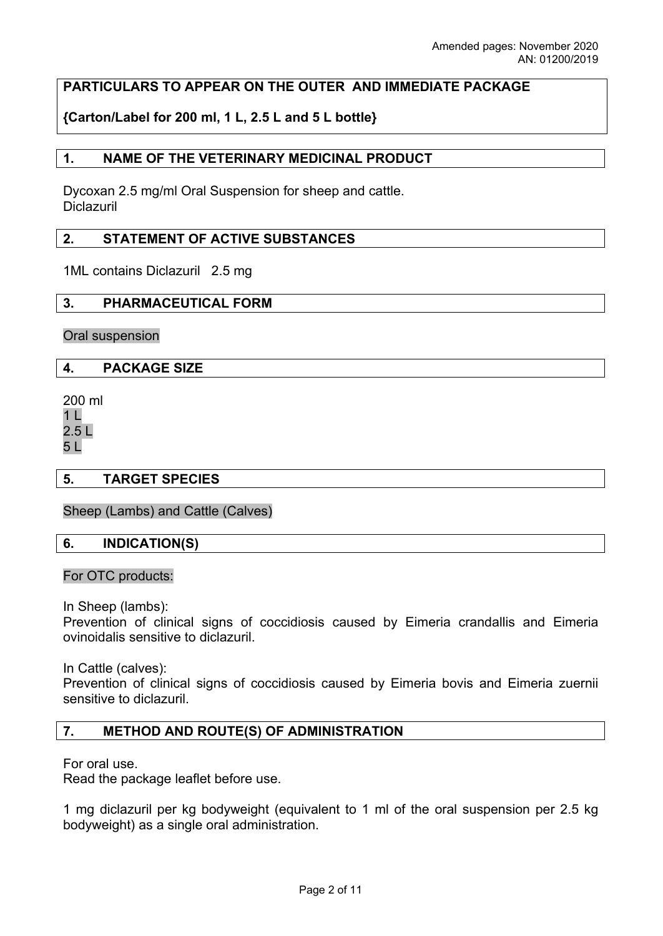## **PARTICULARS TO APPEAR ON THE OUTER AND IMMEDIATE PACKAGE**

**{Carton/Label for 200 ml, 1 L, 2.5 L and 5 L bottle}**

### **1. NAME OF THE VETERINARY MEDICINAL PRODUCT**

Dycoxan 2.5 mg/ml Oral Suspension for sheep and cattle. Diclazuril

### **2. STATEMENT OF ACTIVE SUBSTANCES**

1ML contains Diclazuril 2.5 mg

### **3. PHARMACEUTICAL FORM**

Oral suspension

### **4. PACKAGE SIZE**

200 ml 1 L 2.5 L 5 L

### **5. TARGET SPECIES**

Sheep (Lambs) and Cattle (Calves)

### **6. INDICATION(S)**

#### For OTC products:

In Sheep (lambs):

Prevention of clinical signs of coccidiosis caused by Eimeria crandallis and Eimeria ovinoidalis sensitive to diclazuril.

In Cattle (calves):

Prevention of clinical signs of coccidiosis caused by Eimeria bovis and Eimeria zuernii sensitive to diclazuril.

### **7. METHOD AND ROUTE(S) OF ADMINISTRATION**

For oral use.

Read the package leaflet before use.

1 mg diclazuril per kg bodyweight (equivalent to 1 ml of the oral suspension per 2.5 kg bodyweight) as a single oral administration.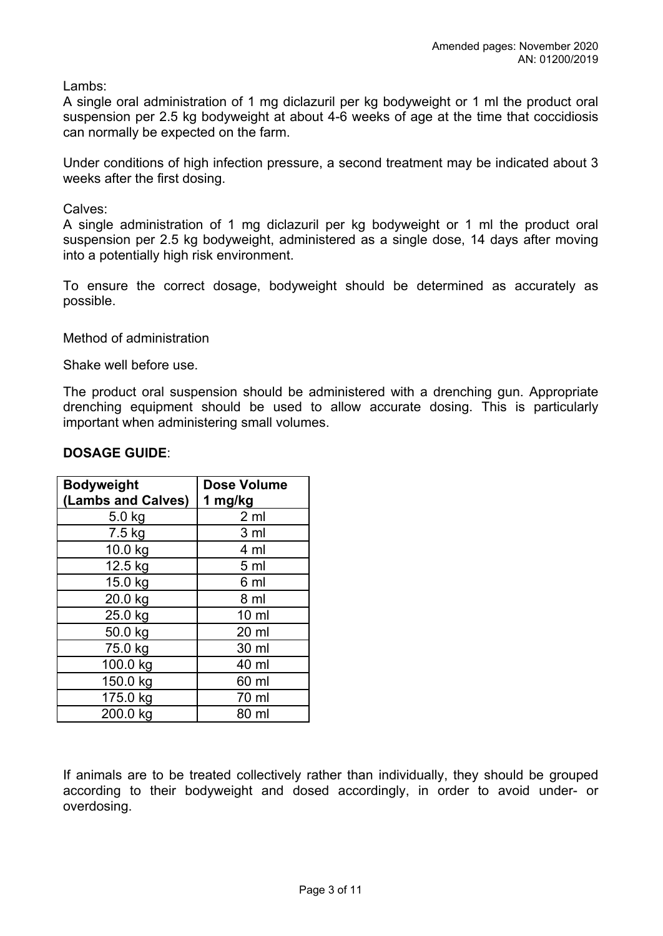Lambs:

A single oral administration of 1 mg diclazuril per kg bodyweight or 1 ml the product oral suspension per 2.5 kg bodyweight at about 4-6 weeks of age at the time that coccidiosis can normally be expected on the farm.

Under conditions of high infection pressure, a second treatment may be indicated about 3 weeks after the first dosing.

Calves:

A single administration of 1 mg diclazuril per kg bodyweight or 1 ml the product oral suspension per 2.5 kg bodyweight, administered as a single dose, 14 days after moving into a potentially high risk environment.

To ensure the correct dosage, bodyweight should be determined as accurately as possible.

Method of administration

Shake well before use.

The product oral suspension should be administered with a drenching gun. Appropriate drenching equipment should be used to allow accurate dosing. This is particularly important when administering small volumes.

### **DOSAGE GUIDE**:

| <b>Bodyweight</b>  | <b>Dose Volume</b> |
|--------------------|--------------------|
| (Lambs and Calves) | 1 mg/kg            |
| $5.0$ kg           | 2 <sub>m</sub>     |
| 7.5 kg             | 3 <sub>ml</sub>    |
| 10.0 kg            | 4 ml               |
| 12.5 kg            | 5 <sub>m</sub>     |
| 15.0 kg            | 6 ml               |
| 20.0 kg            | 8 ml               |
| 25.0 kg            | $10 \mathrm{m}$    |
| 50.0 kg            | 20 ml              |
| 75.0 kg            | 30 ml              |
| 100.0 kg           | 40 ml              |
| 150.0 kg           | 60 ml              |
| 175.0 kg           | 70 ml              |
| 200.0 kg           | 80 ml              |

If animals are to be treated collectively rather than individually, they should be grouped according to their bodyweight and dosed accordingly, in order to avoid under- or overdosing.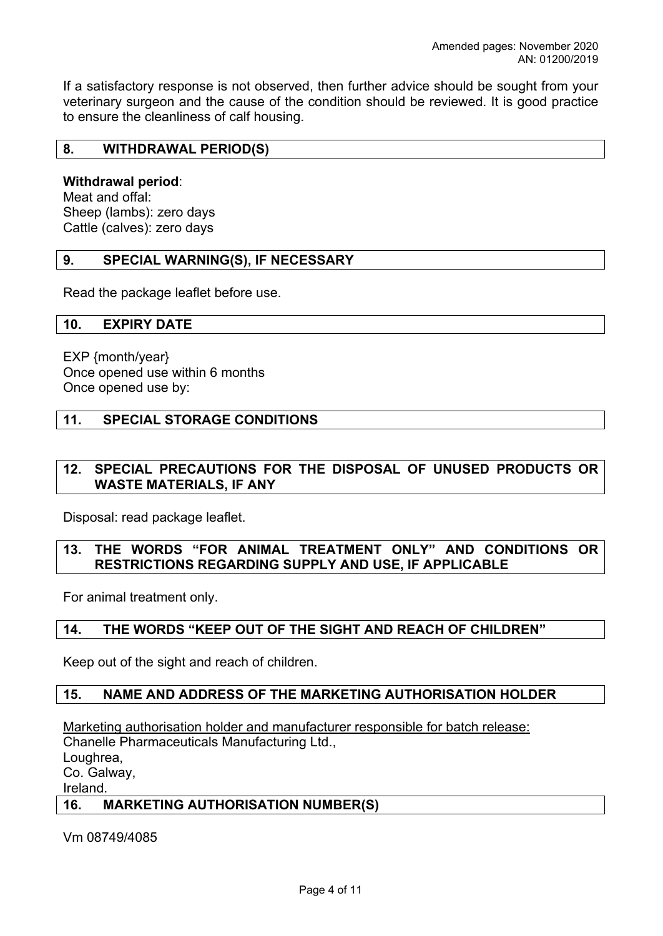If a satisfactory response is not observed, then further advice should be sought from your veterinary surgeon and the cause of the condition should be reviewed. It is good practice to ensure the cleanliness of calf housing.

### **8. WITHDRAWAL PERIOD(S)**

### **Withdrawal period**:

Meat and offal: Sheep (lambs): zero days Cattle (calves): zero days

## **9. SPECIAL WARNING(S), IF NECESSARY**

Read the package leaflet before use.

### **10. EXPIRY DATE**

EXP {month/year} Once opened use within 6 months Once opened use by:

### **11. SPECIAL STORAGE CONDITIONS**

### **12. SPECIAL PRECAUTIONS FOR THE DISPOSAL OF UNUSED PRODUCTS OR WASTE MATERIALS, IF ANY**

Disposal: read package leaflet.

### **13. THE WORDS "FOR ANIMAL TREATMENT ONLY" AND CONDITIONS OR RESTRICTIONS REGARDING SUPPLY AND USE, IF APPLICABLE**

For animal treatment only.

## **14. THE WORDS "KEEP OUT OF THE SIGHT AND REACH OF CHILDREN"**

Keep out of the sight and reach of children.

### **15. NAME AND ADDRESS OF THE MARKETING AUTHORISATION HOLDER**

Marketing authorisation holder and manufacturer responsible for batch release: Chanelle Pharmaceuticals Manufacturing Ltd., Loughrea, Co. Galway, Ireland.

### **16. MARKETING AUTHORISATION NUMBER(S)**

Vm 08749/4085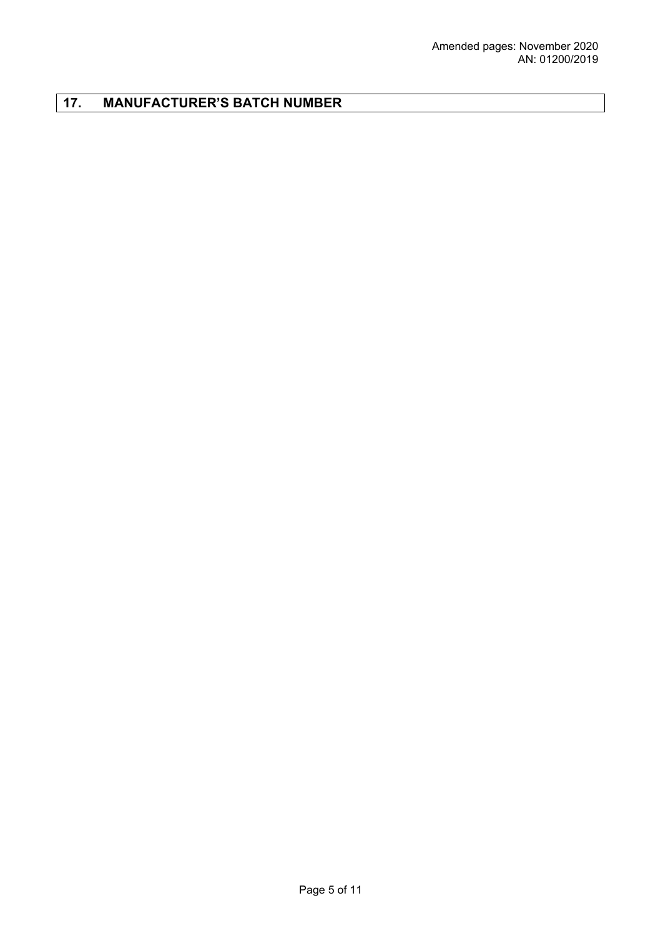# **17. MANUFACTURER'S BATCH NUMBER**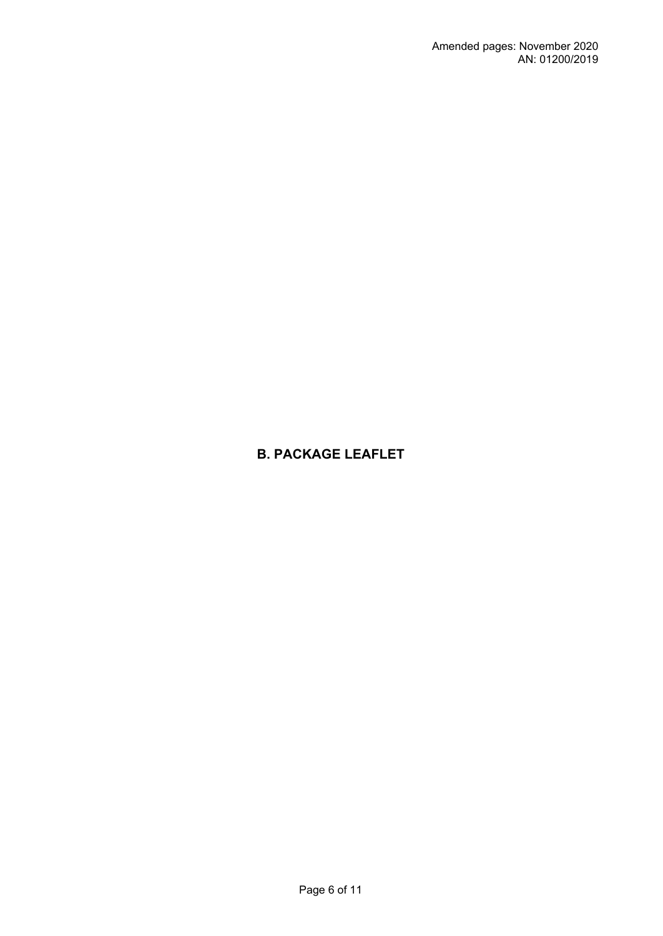# **B. PACKAGE LEAFLET**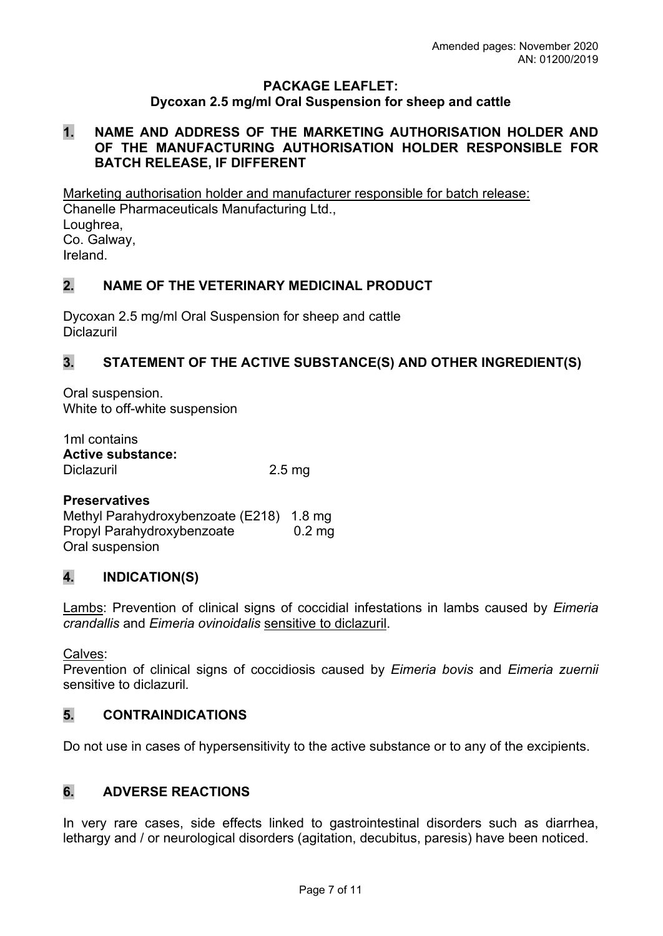## **PACKAGE LEAFLET: Dycoxan 2.5 mg/ml Oral Suspension for sheep and cattle**

## **1. NAME AND ADDRESS OF THE MARKETING AUTHORISATION HOLDER AND OF THE MANUFACTURING AUTHORISATION HOLDER RESPONSIBLE FOR BATCH RELEASE, IF DIFFERENT**

Marketing authorisation holder and manufacturer responsible for batch release: Chanelle Pharmaceuticals Manufacturing Ltd., Loughrea, Co. Galway, Ireland.

# **2. NAME OF THE VETERINARY MEDICINAL PRODUCT**

Dycoxan 2.5 mg/ml Oral Suspension for sheep and cattle **Diclazuril** 

# **3. STATEMENT OF THE ACTIVE SUBSTANCE(S) AND OTHER INGREDIENT(S)**

Oral suspension. White to off-white suspension

1ml contains **Active substance:** Diclazuril 2.5 mg

# **Preservatives**

Methyl Parahydroxybenzoate (E218) 1.8 mg Propyl Parahydroxybenzoate 0.2 mg Oral suspension

# **4. INDICATION(S)**

Lambs: Prevention of clinical signs of coccidial infestations in lambs caused by *Eimeria crandallis* and *Eimeria ovinoidalis* sensitive to diclazuril.

Calves:

Prevention of clinical signs of coccidiosis caused by *Eimeria bovis* and *Eimeria zuernii* sensitive to diclazuril*.*

# **5. CONTRAINDICATIONS**

Do not use in cases of hypersensitivity to the active substance or to any of the excipients.

# **6. ADVERSE REACTIONS**

In very rare cases, side effects linked to gastrointestinal disorders such as diarrhea, lethargy and / or neurological disorders (agitation, decubitus, paresis) have been noticed.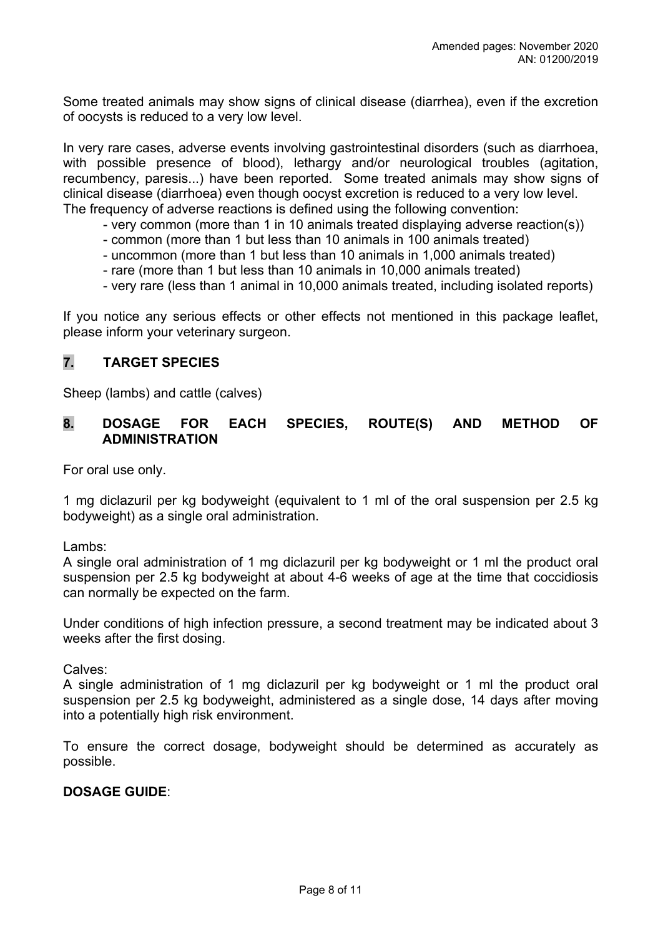Some treated animals may show signs of clinical disease (diarrhea), even if the excretion of oocysts is reduced to a very low level.

In very rare cases, adverse events involving gastrointestinal disorders (such as diarrhoea, with possible presence of blood), lethargy and/or neurological troubles (agitation, recumbency, paresis...) have been reported. Some treated animals may show signs of clinical disease (diarrhoea) even though oocyst excretion is reduced to a very low level. The frequency of adverse reactions is defined using the following convention:

- very common (more than 1 in 10 animals treated displaying adverse reaction(s))
- common (more than 1 but less than 10 animals in 100 animals treated)
- uncommon (more than 1 but less than 10 animals in 1,000 animals treated)
- rare (more than 1 but less than 10 animals in 10,000 animals treated)
- very rare (less than 1 animal in 10,000 animals treated, including isolated reports)

If you notice any serious effects or other effects not mentioned in this package leaflet, please inform your veterinary surgeon.

# **7. TARGET SPECIES**

Sheep (lambs) and cattle (calves)

## **8. DOSAGE FOR EACH SPECIES, ROUTE(S) AND METHOD OF ADMINISTRATION**

For oral use only.

1 mg diclazuril per kg bodyweight (equivalent to 1 ml of the oral suspension per 2.5 kg bodyweight) as a single oral administration.

Lambs:

A single oral administration of 1 mg diclazuril per kg bodyweight or 1 ml the product oral suspension per 2.5 kg bodyweight at about 4-6 weeks of age at the time that coccidiosis can normally be expected on the farm.

Under conditions of high infection pressure, a second treatment may be indicated about 3 weeks after the first dosing.

Calves:

A single administration of 1 mg diclazuril per kg bodyweight or 1 ml the product oral suspension per 2.5 kg bodyweight, administered as a single dose, 14 days after moving into a potentially high risk environment.

To ensure the correct dosage, bodyweight should be determined as accurately as possible.

## **DOSAGE GUIDE**: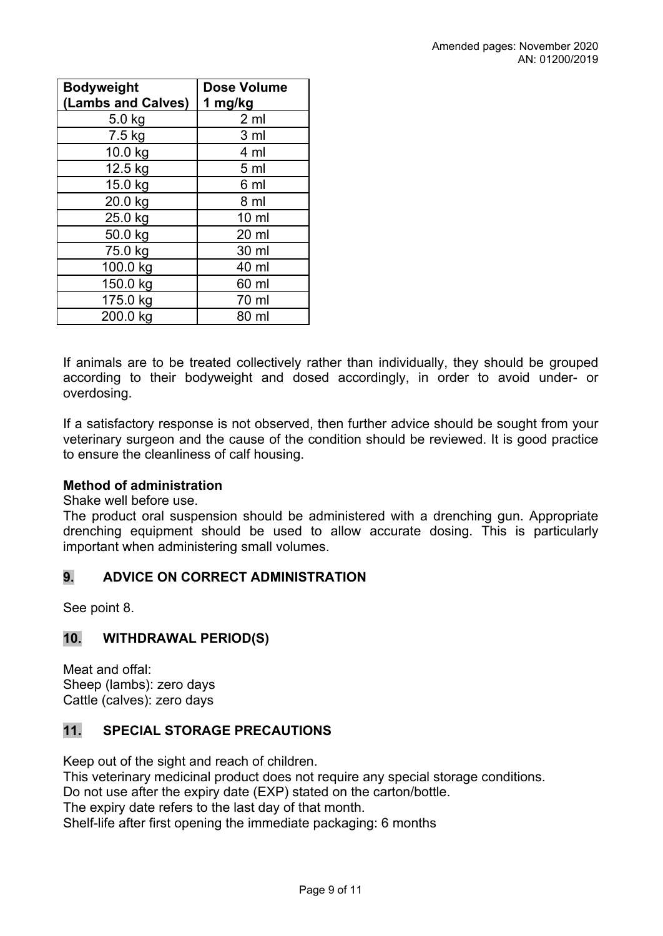| <b>Bodyweight</b>  | <b>Dose Volume</b> |
|--------------------|--------------------|
| (Lambs and Calves) | 1 mg/kg            |
| 5.0 kg             | 2 <sub>m</sub>     |
| 7.5 kg             | 3 <sub>ml</sub>    |
| 10.0 kg            | 4 ml               |
| 12.5 kg            | 5 <sub>ml</sub>    |
| 15.0 kg            | 6 ml               |
| 20.0 kg            | 8 ml               |
| 25.0 kg            | $10 \mathrm{m}$    |
| 50.0 kg            | 20 ml              |
| 75.0 kg            | 30 ml              |
| 100.0 kg           | 40 ml              |
| 150.0 kg           | 60 ml              |
| 175.0 kg           | 70 ml              |
| 200.0 kg           | 80 ml              |

If animals are to be treated collectively rather than individually, they should be grouped according to their bodyweight and dosed accordingly, in order to avoid under- or overdosing.

If a satisfactory response is not observed, then further advice should be sought from your veterinary surgeon and the cause of the condition should be reviewed. It is good practice to ensure the cleanliness of calf housing.

## **Method of administration**

Shake well before use.

The product oral suspension should be administered with a drenching gun. Appropriate drenching equipment should be used to allow accurate dosing. This is particularly important when administering small volumes.

# **9. ADVICE ON CORRECT ADMINISTRATION**

See point 8.

# **10. WITHDRAWAL PERIOD(S)**

Meat and offal: Sheep (lambs): zero days Cattle (calves): zero days

# **11. SPECIAL STORAGE PRECAUTIONS**

Keep out of the sight and reach of children.

This veterinary medicinal product does not require any special storage conditions. Do not use after the expiry date (EXP) stated on the carton/bottle.

The expiry date refers to the last day of that month.

Shelf-life after first opening the immediate packaging: 6 months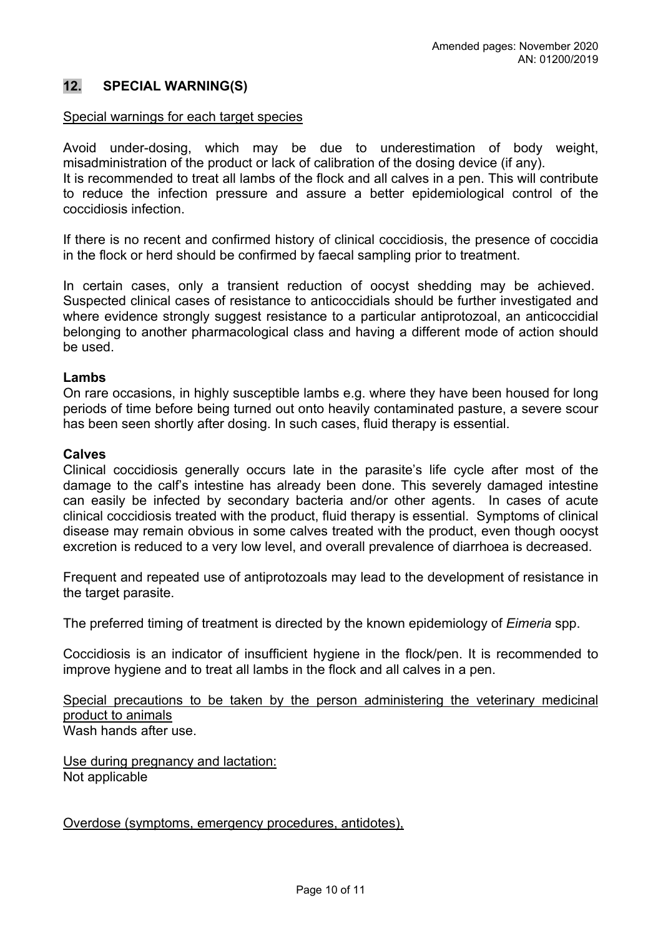## **12. SPECIAL WARNING(S)**

#### Special warnings for each target species

Avoid under-dosing, which may be due to underestimation of body weight, misadministration of the product or lack of calibration of the dosing device (if any). It is recommended to treat all lambs of the flock and all calves in a pen. This will contribute to reduce the infection pressure and assure a better epidemiological control of the coccidiosis infection.

If there is no recent and confirmed history of clinical coccidiosis, the presence of coccidia in the flock or herd should be confirmed by faecal sampling prior to treatment.

In certain cases, only a transient reduction of oocyst shedding may be achieved. Suspected clinical cases of resistance to anticoccidials should be further investigated and where evidence strongly suggest resistance to a particular antiprotozoal, an anticoccidial belonging to another pharmacological class and having a different mode of action should be used.

#### **Lambs**

On rare occasions, in highly susceptible lambs e.g. where they have been housed for long periods of time before being turned out onto heavily contaminated pasture, a severe scour has been seen shortly after dosing. In such cases, fluid therapy is essential.

#### **Calves**

Clinical coccidiosis generally occurs late in the parasite's life cycle after most of the damage to the calf's intestine has already been done. This severely damaged intestine can easily be infected by secondary bacteria and/or other agents. In cases of acute clinical coccidiosis treated with the product, fluid therapy is essential. Symptoms of clinical disease may remain obvious in some calves treated with the product, even though oocyst excretion is reduced to a very low level, and overall prevalence of diarrhoea is decreased.

Frequent and repeated use of antiprotozoals may lead to the development of resistance in the target parasite.

The preferred timing of treatment is directed by the known epidemiology of *Eimeria* spp.

Coccidiosis is an indicator of insufficient hygiene in the flock/pen. It is recommended to improve hygiene and to treat all lambs in the flock and all calves in a pen.

Special precautions to be taken by the person administering the veterinary medicinal product to animals Wash hands after use.

Use during pregnancy and lactation: Not applicable

Overdose (symptoms, emergency procedures, antidotes),